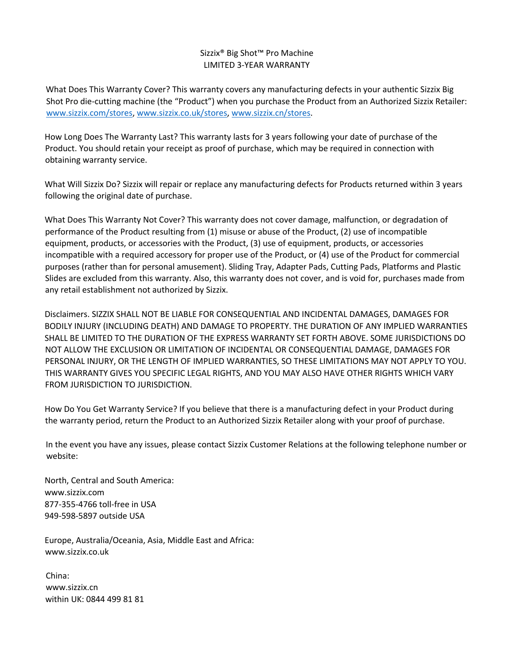## Sizzix® Big Shot™ Pro Machine LIMITED 3-YEAR WARRANTY

What Does This Warranty Cover? This warranty covers any manufacturing defects in your authentic Sizzix Big Shot Pro die-cutting machine (the "Product") when you purchase the Product from an Authorized Sizzix Retailer: www.sizzix.com/stores, www.sizzix.co.uk/stores, www.sizzix.cn/stores.

How Long Does The Warranty Last? This warranty lasts for 3 years following your date of purchase of the Product. You should retain your receipt as proof of purchase, which may be required in connection with obtaining warranty service.

What Will Sizzix Do? Sizzix will repair or replace any manufacturing defects for Products returned within 3 years following the original date of purchase.

What Does This Warranty Not Cover? This warranty does not cover damage, malfunction, or degradation of performance of the Product resulting from (1) misuse or abuse of the Product, (2) use of incompatible equipment, products, or accessories with the Product, (3) use of equipment, products, or accessories incompatible with a required accessory for proper use of the Product, or (4) use of the Product for commercial purposes (rather than for personal amusement). Sliding Tray, Adapter Pads, Cutting Pads, Platforms and Plastic Slides are excluded from this warranty. Also, this warranty does not cover, and is void for, purchases made from any retail establishment not authorized by Sizzix.

Disclaimers. SIZZIX SHALL NOT BE LIABLE FOR CONSEQUENTIAL AND INCIDENTAL DAMAGES, DAMAGES FOR BODILY INJURY (INCLUDING DEATH) AND DAMAGE TO PROPERTY. THE DURATION OF ANY IMPLIED WARRANTIES SHALL BE LIMITED TO THE DURATION OF THE EXPRESS WARRANTY SET FORTH ABOVE. SOME JURISDICTIONS DO NOT ALLOW THE EXCLUSION OR LIMITATION OF INCIDENTAL OR CONSEQUENTIAL DAMAGE, DAMAGES FOR PERSONAL INJURY, OR THE LENGTH OF IMPLIED WARRANTIES, SO THESE LIMITATIONS MAY NOT APPLY TO YOU. THIS WARRANTY GIVES YOU SPECIFIC LEGAL RIGHTS, AND YOU MAY ALSO HAVE OTHER RIGHTS WHICH VARY FROM JURISDICTION TO JURISDICTION.

How Do You Get Warranty Service? If you believe that there is a manufacturing defect in your Product during the warranty period, return the Product to an Authorized Sizzix Retailer along with your proof of purchase.

In the event you have any issues, please contact Sizzix Customer Relations at the following telephone number or website:

North, Central and South America: www.sizzix.com 877-355-4766 toll-free in USA 949-598-5897 outside USA

Europe, Australia/Oceania, Asia, Middle East and Africa: www.sizzix.co.uk

China: www.sizzix.cn within UK: 0844 499 81 81